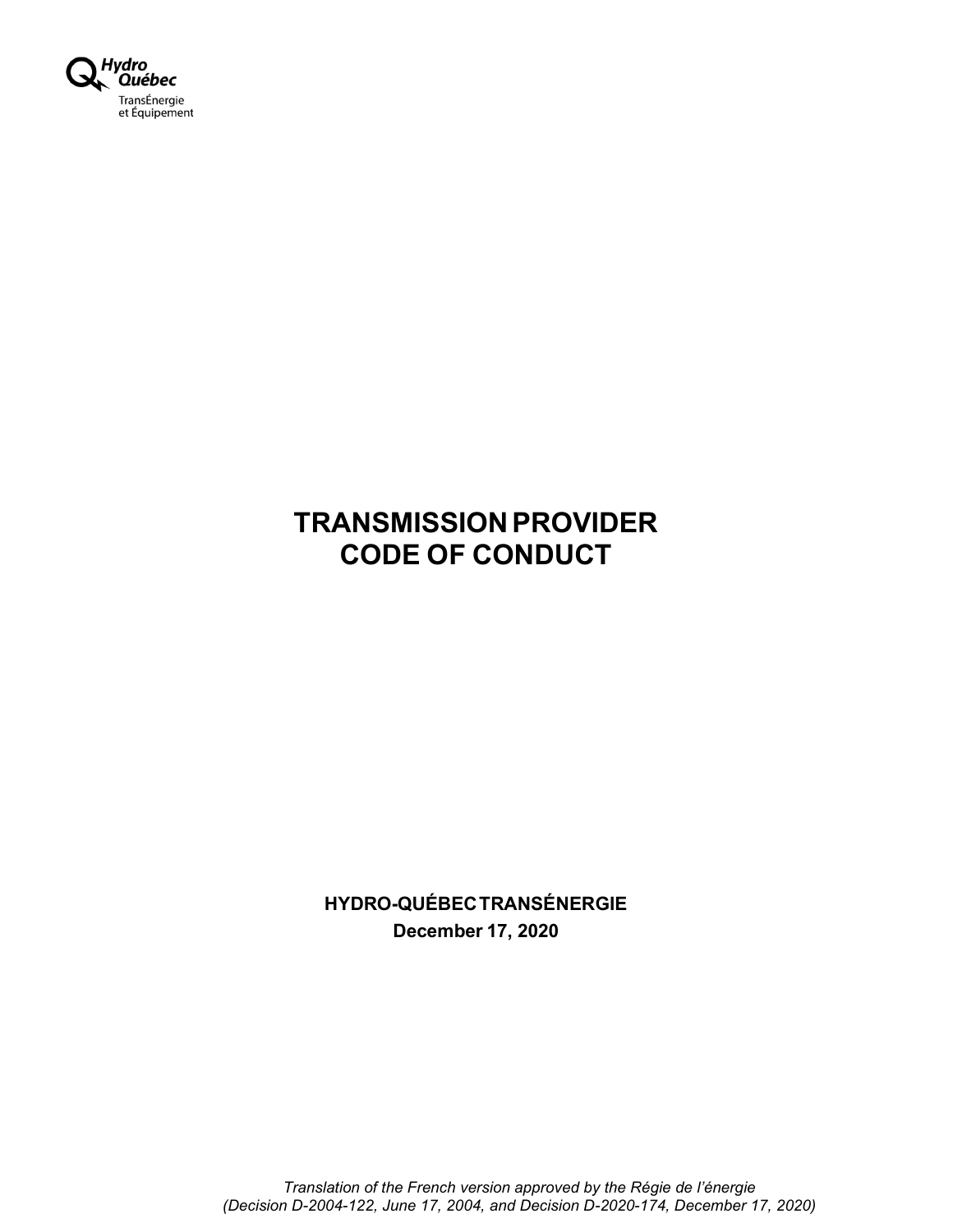

# TRANSMISSION PROVIDER CODE OF CONDUCT

HYDRO-QUÉBEC TRANSÉNERGIE December 17, 2020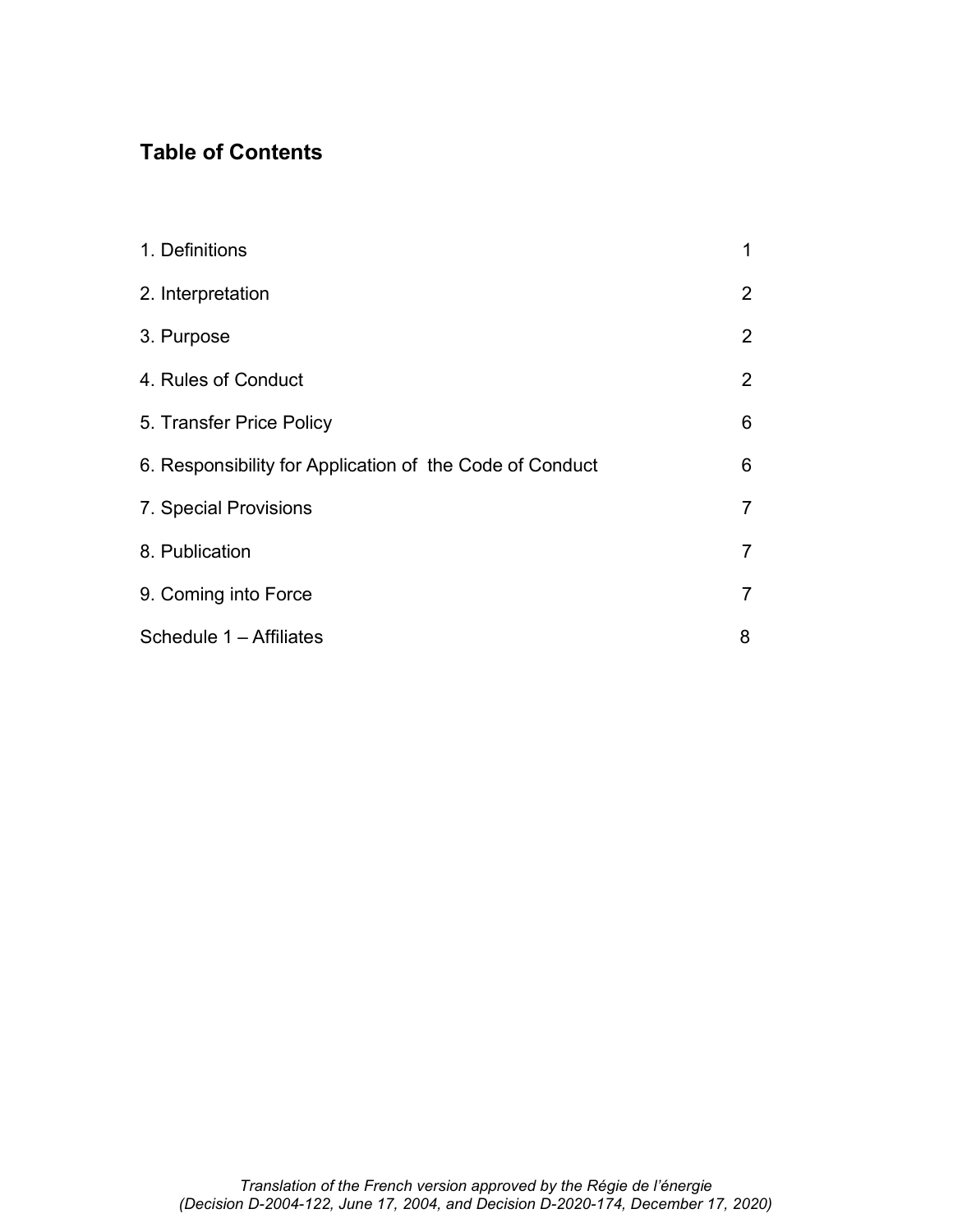# Table of Contents

| 1. Definitions                                           | 1              |
|----------------------------------------------------------|----------------|
| 2. Interpretation                                        | $\overline{2}$ |
| 3. Purpose                                               | 2              |
| 4. Rules of Conduct                                      | $\overline{2}$ |
| 5. Transfer Price Policy                                 | 6              |
| 6. Responsibility for Application of the Code of Conduct | 6              |
| 7. Special Provisions                                    | 7              |
| 8. Publication                                           | 7              |
| 9. Coming into Force                                     | $\overline{7}$ |
| Schedule 1 - Affiliates                                  | 8              |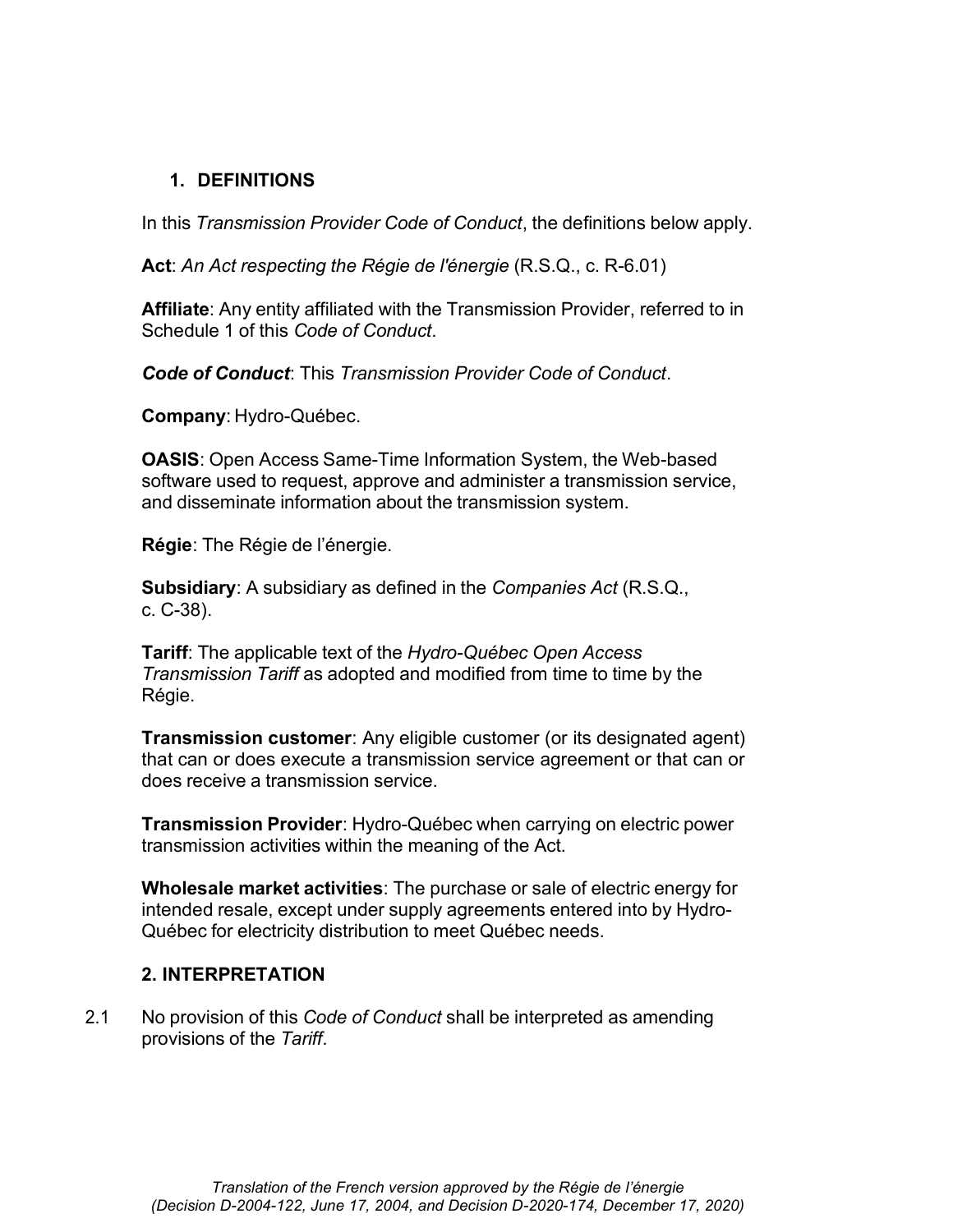#### 1. DEFINITIONS

In this Transmission Provider Code of Conduct, the definitions below apply.

Act: An Act respecting the Régie de l'énergie (R.S.Q., c. R-6.01)

Affiliate: Any entity affiliated with the Transmission Provider, referred to in Schedule 1 of this Code of Conduct.

Code of Conduct: This Transmission Provider Code of Conduct.

Company: Hydro-Québec.

OASIS: Open Access Same-Time Information System, the Web-based software used to request, approve and administer a transmission service, and disseminate information about the transmission system.

Régie: The Régie de l'énergie.

Subsidiary: A subsidiary as defined in the Companies Act (R.S.Q., c. C-38).

Tariff: The applicable text of the Hydro-Québec Open Access Transmission Tariff as adopted and modified from time to time by the Régie.

Transmission customer: Any eligible customer (or its designated agent) that can or does execute a transmission service agreement or that can or does receive a transmission service.

Transmission Provider: Hydro-Québec when carrying on electric power transmission activities within the meaning of the Act.

Wholesale market activities: The purchase or sale of electric energy for intended resale, except under supply agreements entered into by Hydro-Québec for electricity distribution to meet Québec needs.

#### 2. INTERPRETATION

2.1 No provision of this Code of Conduct shall be interpreted as amending provisions of the Tariff.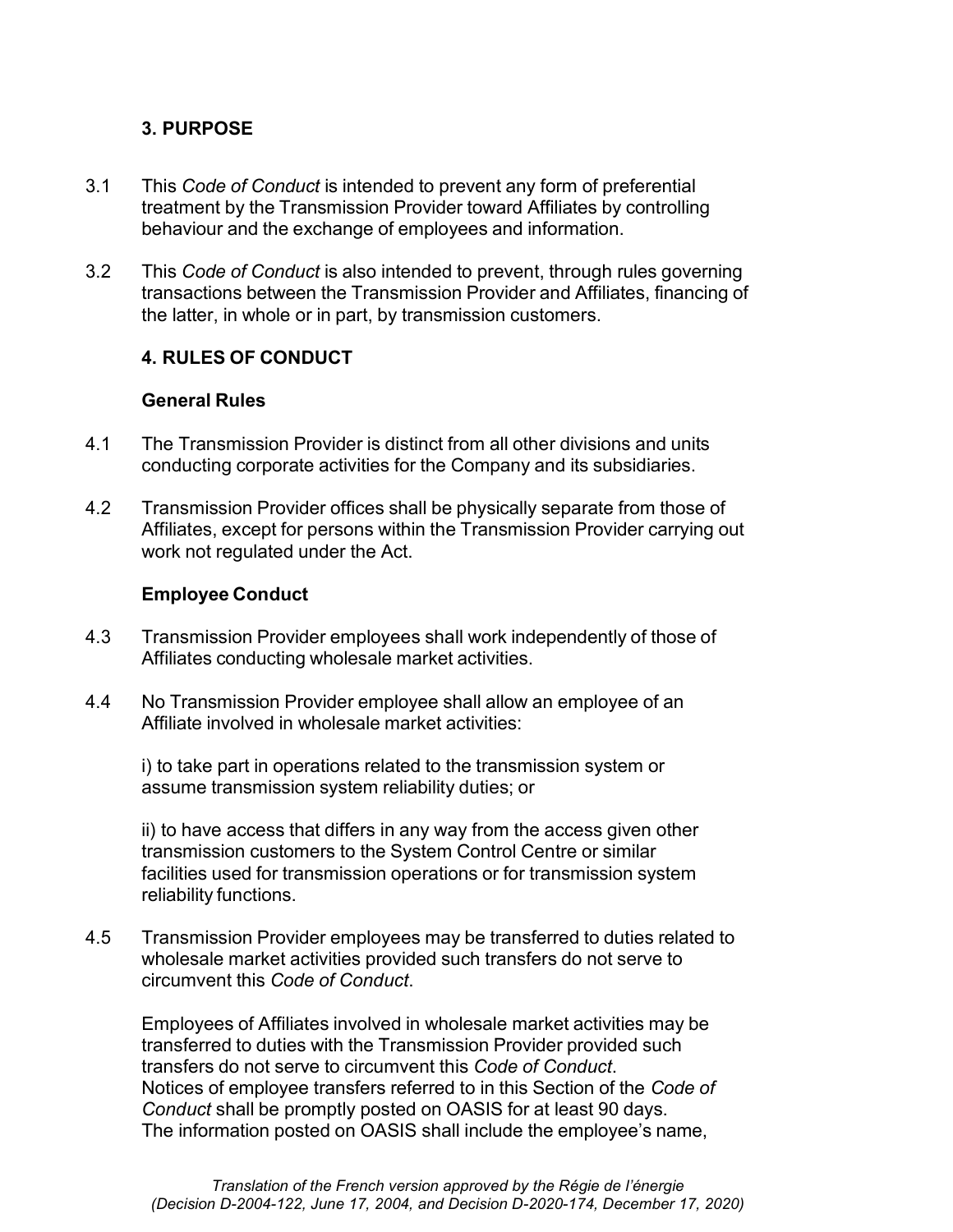# 3. PURPOSE

- 3.1 This Code of Conduct is intended to prevent any form of preferential treatment by the Transmission Provider toward Affiliates by controlling behaviour and the exchange of employees and information.
- 3.2 This Code of Conduct is also intended to prevent, through rules governing transactions between the Transmission Provider and Affiliates, financing of the latter, in whole or in part, by transmission customers.

# 4. RULES OF CONDUCT

#### General Rules

- 4.1 The Transmission Provider is distinct from all other divisions and units conducting corporate activities for the Company and its subsidiaries.
- 4.2 Transmission Provider offices shall be physically separate from those of Affiliates, except for persons within the Transmission Provider carrying out work not regulated under the Act.

#### Employee Conduct

- 4.3 Transmission Provider employees shall work independently of those of Affiliates conducting wholesale market activities.
- 4.4 No Transmission Provider employee shall allow an employee of an Affiliate involved in wholesale market activities:

i) to take part in operations related to the transmission system or assume transmission system reliability duties; or

ii) to have access that differs in any way from the access given other transmission customers to the System Control Centre or similar facilities used for transmission operations or for transmission system reliability functions.

4.5 Transmission Provider employees may be transferred to duties related to wholesale market activities provided such transfers do not serve to circumvent this Code of Conduct.

Employees of Affiliates involved in wholesale market activities may be transferred to duties with the Transmission Provider provided such transfers do not serve to circumvent this Code of Conduct. Notices of employee transfers referred to in this Section of the Code of Conduct shall be promptly posted on OASIS for at least 90 days. The information posted on OASIS shall include the employee's name,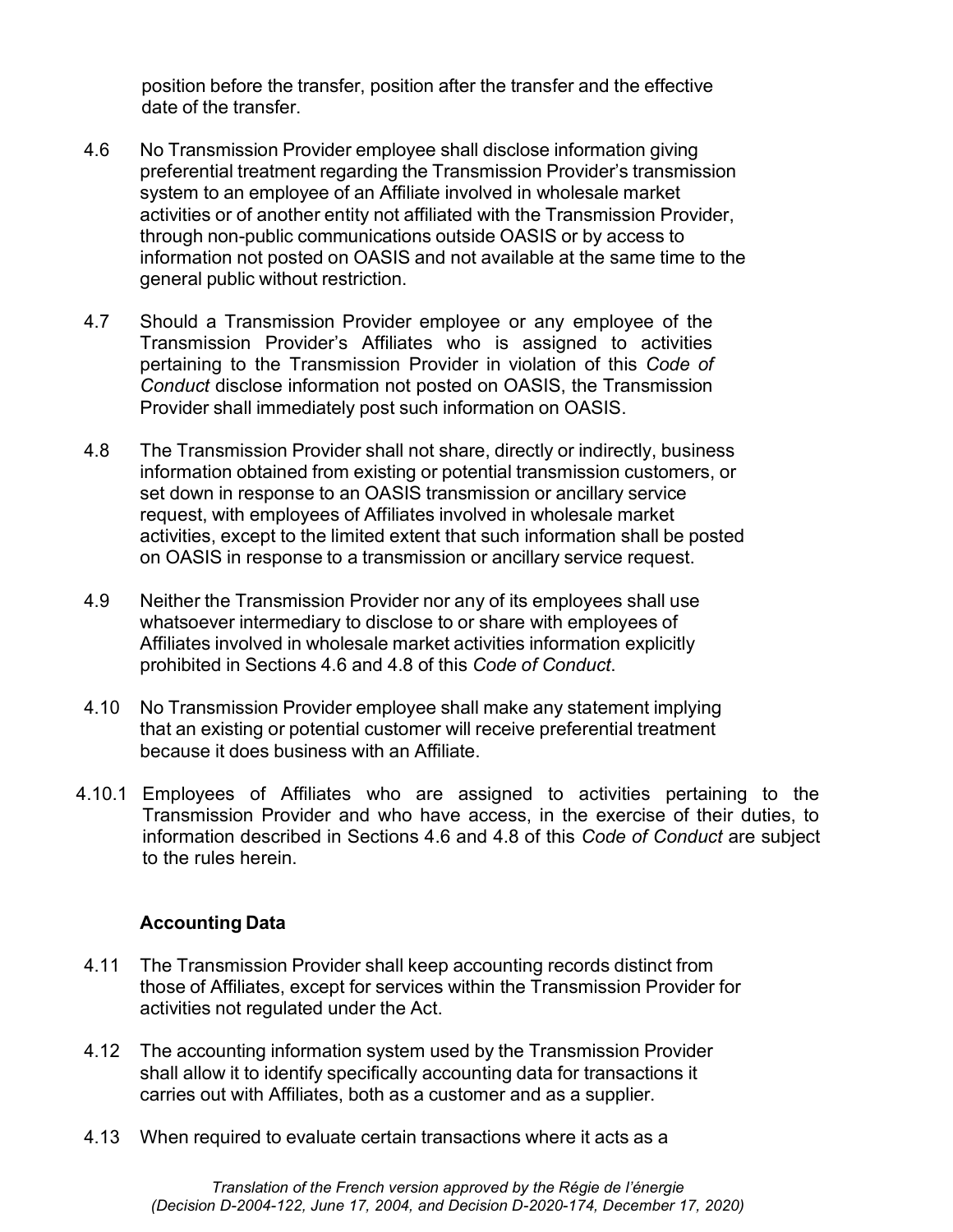position before the transfer, position after the transfer and the effective date of the transfer.

- 4.6 No Transmission Provider employee shall disclose information giving preferential treatment regarding the Transmission Provider's transmission system to an employee of an Affiliate involved in wholesale market activities or of another entity not affiliated with the Transmission Provider, through non-public communications outside OASIS or by access to information not posted on OASIS and not available at the same time to the general public without restriction.
- 4.7 Should a Transmission Provider employee or any employee of the Transmission Provider's Affiliates who is assigned to activities pertaining to the Transmission Provider in violation of this Code of Conduct disclose information not posted on OASIS, the Transmission Provider shall immediately post such information on OASIS.
- 4.8 The Transmission Provider shall not share, directly or indirectly, business information obtained from existing or potential transmission customers, or set down in response to an OASIS transmission or ancillary service request, with employees of Affiliates involved in wholesale market activities, except to the limited extent that such information shall be posted on OASIS in response to a transmission or ancillary service request.
- 4.9 Neither the Transmission Provider nor any of its employees shall use whatsoever intermediary to disclose to or share with employees of Affiliates involved in wholesale market activities information explicitly prohibited in Sections 4.6 and 4.8 of this Code of Conduct.
- 4.10 No Transmission Provider employee shall make any statement implying that an existing or potential customer will receive preferential treatment because it does business with an Affiliate.
- 4.10.1 Employees of Affiliates who are assigned to activities pertaining to the Transmission Provider and who have access, in the exercise of their duties, to information described in Sections 4.6 and 4.8 of this Code of Conduct are subject to the rules herein.

# Accounting Data

- 4.11 The Transmission Provider shall keep accounting records distinct from those of Affiliates, except for services within the Transmission Provider for activities not regulated under the Act.
- 4.12 The accounting information system used by the Transmission Provider shall allow it to identify specifically accounting data for transactions it carries out with Affiliates, both as a customer and as a supplier.
- 4.13 When required to evaluate certain transactions where it acts as a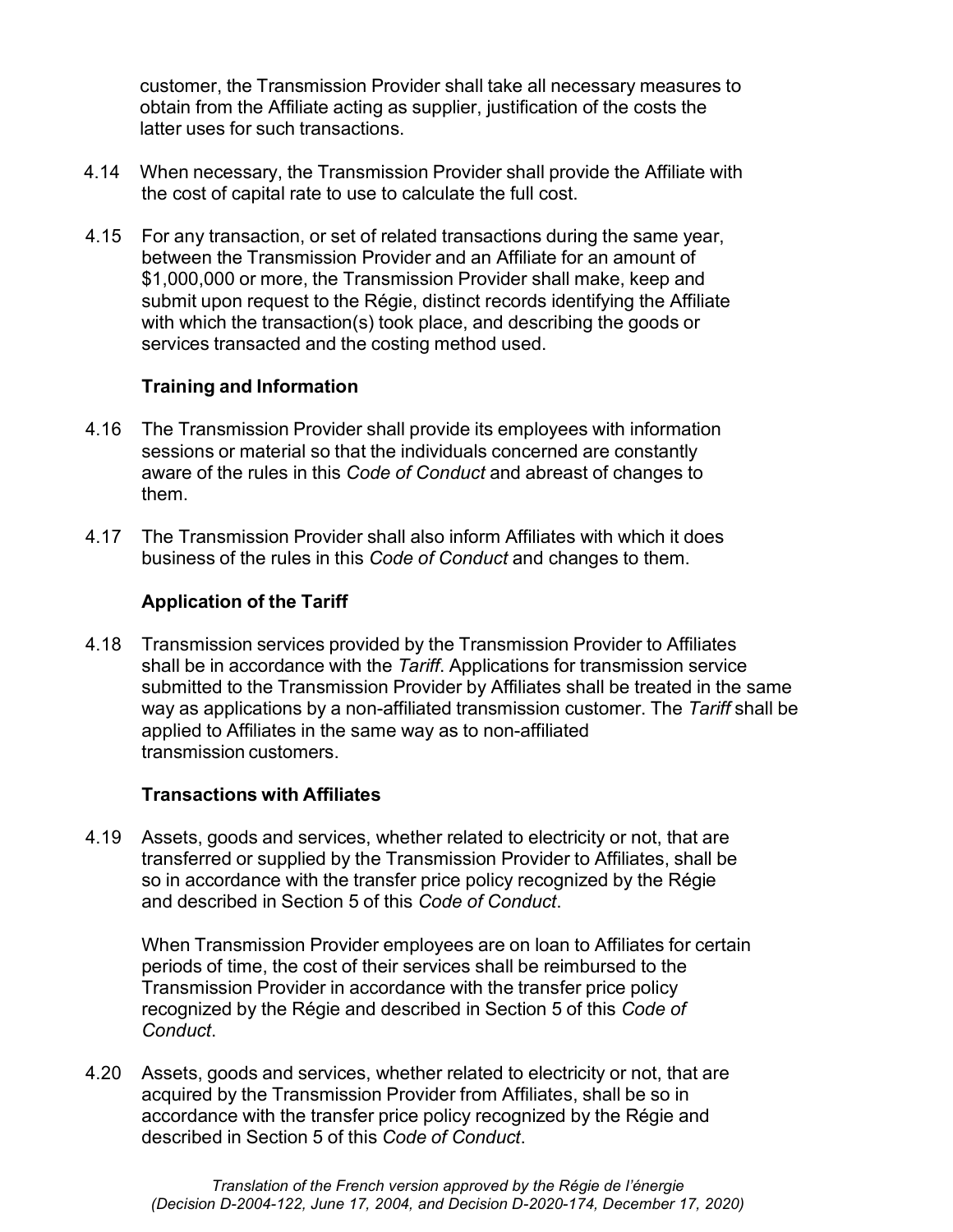customer, the Transmission Provider shall take all necessary measures to obtain from the Affiliate acting as supplier, justification of the costs the latter uses for such transactions.

- 4.14 When necessary, the Transmission Provider shall provide the Affiliate with the cost of capital rate to use to calculate the full cost.
- 4.15 For any transaction, or set of related transactions during the same year, between the Transmission Provider and an Affiliate for an amount of \$1,000,000 or more, the Transmission Provider shall make, keep and submit upon request to the Régie, distinct records identifying the Affiliate with which the transaction(s) took place, and describing the goods or services transacted and the costing method used.

#### Training and Information

- 4.16 The Transmission Provider shall provide its employees with information sessions or material so that the individuals concerned are constantly aware of the rules in this Code of Conduct and abreast of changes to them.
- 4.17 The Transmission Provider shall also inform Affiliates with which it does business of the rules in this Code of Conduct and changes to them.

# Application of the Tariff

4.18 Transmission services provided by the Transmission Provider to Affiliates shall be in accordance with the Tariff. Applications for transmission service submitted to the Transmission Provider by Affiliates shall be treated in the same way as applications by a non-affiliated transmission customer. The Tariff shall be applied to Affiliates in the same way as to non-affiliated transmission customers.

#### Transactions with Affiliates

4.19 Assets, goods and services, whether related to electricity or not, that are transferred or supplied by the Transmission Provider to Affiliates, shall be so in accordance with the transfer price policy recognized by the Régie and described in Section 5 of this Code of Conduct.

When Transmission Provider employees are on loan to Affiliates for certain periods of time, the cost of their services shall be reimbursed to the Transmission Provider in accordance with the transfer price policy recognized by the Régie and described in Section 5 of this Code of Conduct.

4.20 Assets, goods and services, whether related to electricity or not, that are acquired by the Transmission Provider from Affiliates, shall be so in accordance with the transfer price policy recognized by the Régie and described in Section 5 of this Code of Conduct.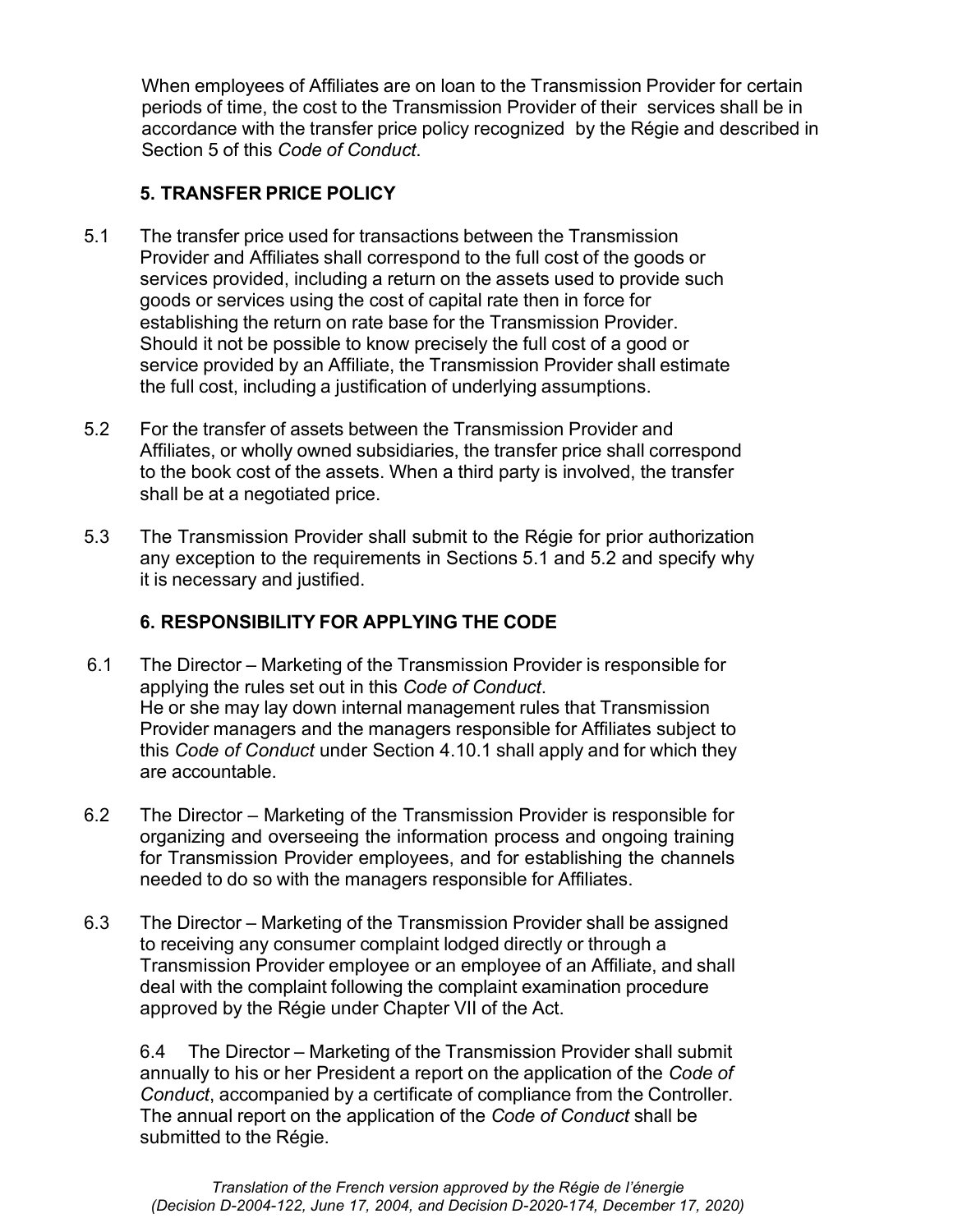When employees of Affiliates are on loan to the Transmission Provider for certain periods of time, the cost to the Transmission Provider of their services shall be in accordance with the transfer price policy recognized by the Régie and described in Section 5 of this Code of Conduct.

# 5. TRANSFER PRICE POLICY

- 5.1 The transfer price used for transactions between the Transmission Provider and Affiliates shall correspond to the full cost of the goods or services provided, including a return on the assets used to provide such goods or services using the cost of capital rate then in force for establishing the return on rate base for the Transmission Provider. Should it not be possible to know precisely the full cost of a good or service provided by an Affiliate, the Transmission Provider shall estimate the full cost, including a justification of underlying assumptions.
- 5.2 For the transfer of assets between the Transmission Provider and Affiliates, or wholly owned subsidiaries, the transfer price shall correspond to the book cost of the assets. When a third party is involved, the transfer shall be at a negotiated price.
- 5.3 The Transmission Provider shall submit to the Régie for prior authorization any exception to the requirements in Sections 5.1 and 5.2 and specify why it is necessary and justified.

# 6. RESPONSIBILITY FOR APPLYING THE CODE

- 6.1 The Director Marketing of the Transmission Provider is responsible for applying the rules set out in this Code of Conduct. He or she may lay down internal management rules that Transmission Provider managers and the managers responsible for Affiliates subject to this Code of Conduct under Section 4.10.1 shall apply and for which they are accountable.
- 6.2 The Director Marketing of the Transmission Provider is responsible for organizing and overseeing the information process and ongoing training for Transmission Provider employees, and for establishing the channels needed to do so with the managers responsible for Affiliates.
- 6.3 The Director Marketing of the Transmission Provider shall be assigned to receiving any consumer complaint lodged directly or through a Transmission Provider employee or an employee of an Affiliate, and shall deal with the complaint following the complaint examination procedure approved by the Régie under Chapter VII of the Act.

6.4 The Director – Marketing of the Transmission Provider shall submit annually to his or her President a report on the application of the Code of Conduct, accompanied by a certificate of compliance from the Controller. The annual report on the application of the Code of Conduct shall be submitted to the Régie.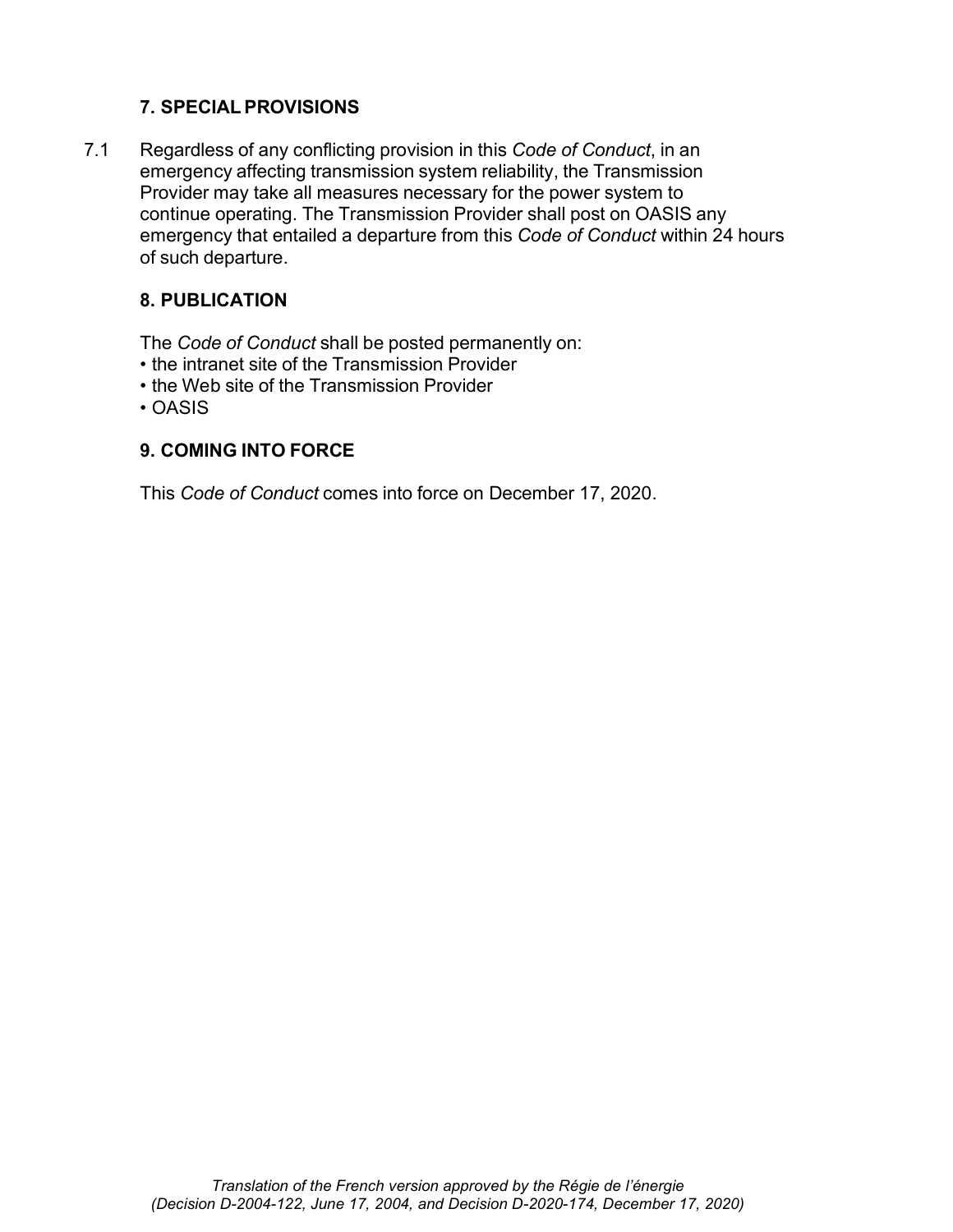# 7. SPECIAL PROVISIONS

7.1 Regardless of any conflicting provision in this Code of Conduct, in an emergency affecting transmission system reliability, the Transmission Provider may take all measures necessary for the power system to continue operating. The Transmission Provider shall post on OASIS any emergency that entailed a departure from this Code of Conduct within 24 hours of such departure.

# 8. PUBLICATION

The Code of Conduct shall be posted permanently on:

- the intranet site of the Transmission Provider
- the Web site of the Transmission Provider
- OASIS

#### 9. COMING INTO FORCE

This Code of Conduct comes into force on December 17, 2020.